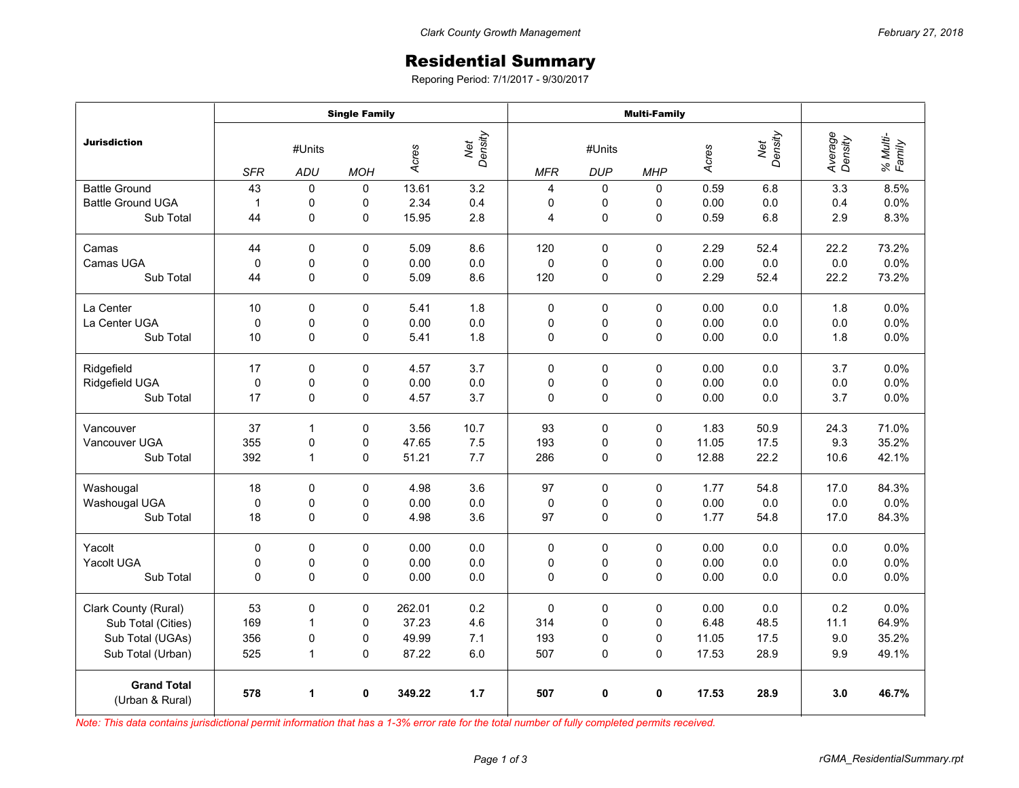## Residential Summary

Reporing Period: 7/1/2017 - 9/30/2017

|                                       | <b>Single Family</b> |              |             |        |                | <b>Multi-Family</b> |             |             |       |                |                    |                    |
|---------------------------------------|----------------------|--------------|-------------|--------|----------------|---------------------|-------------|-------------|-------|----------------|--------------------|--------------------|
| <b>Jurisdiction</b>                   | #Units               |              |             | Acres  | Net<br>Density | #Units              |             |             | Acres | Net<br>Density | Average<br>Density | % Multi-<br>Family |
|                                       | <b>SFR</b>           | ADU          | <b>MOH</b>  |        |                | <b>MFR</b>          | <b>DUP</b>  | <b>MHP</b>  |       |                |                    |                    |
| <b>Battle Ground</b>                  | 43                   | 0            | 0           | 13.61  | 3.2            | 4                   | 0           | $\Omega$    | 0.59  | 6.8            | 3.3                | 8.5%               |
| <b>Battle Ground UGA</b>              | $\mathbf{1}$         | 0            | 0           | 2.34   | 0.4            | 0                   | 0           | 0           | 0.00  | 0.0            | 0.4                | 0.0%               |
| Sub Total                             | 44                   | 0            | 0           | 15.95  | 2.8            | $\overline{4}$      | $\mathsf 0$ | 0           | 0.59  | 6.8            | 2.9                | 8.3%               |
| Camas                                 | 44                   | $\Omega$     | $\mathbf 0$ | 5.09   | 8.6            | 120                 | $\Omega$    | 0           | 2.29  | 52.4           | 22.2               | 73.2%              |
| Camas UGA                             | 0                    | 0            | 0           | 0.00   | 0.0            | $\mathbf 0$         | 0           | 0           | 0.00  | 0.0            | 0.0                | 0.0%               |
| Sub Total                             | 44                   | 0            | 0           | 5.09   | 8.6            | 120                 | 0           | 0           | 2.29  | 52.4           | 22.2               | 73.2%              |
| La Center                             | 10                   | $\mathbf 0$  | 0           | 5.41   | 1.8            | $\mathbf 0$         | 0           | 0           | 0.00  | 0.0            | 1.8                | 0.0%               |
| La Center UGA                         | $\mathbf 0$          | 0            | $\mathsf 0$ | 0.00   | 0.0            | 0                   | 0           | 0           | 0.00  | 0.0            | 0.0                | 0.0%               |
| Sub Total                             | 10                   | 0            | 0           | 5.41   | 1.8            | 0                   | $\mathbf 0$ | 0           | 0.00  | 0.0            | 1.8                | 0.0%               |
| Ridgefield                            | 17                   | 0            | $\mathbf 0$ | 4.57   | 3.7            | $\mathbf 0$         | $\mathbf 0$ | $\mathbf 0$ | 0.00  | 0.0            | 3.7                | 0.0%               |
| Ridgefield UGA                        | 0                    | 0            | 0           | 0.00   | 0.0            | 0                   | 0           | 0           | 0.00  | 0.0            | 0.0                | 0.0%               |
| Sub Total                             | 17                   | $\mathbf 0$  | 0           | 4.57   | 3.7            | 0                   | $\pmb{0}$   | $\mathbf 0$ | 0.00  | 0.0            | 3.7                | 0.0%               |
| Vancouver                             | 37                   | 1            | 0           | 3.56   | 10.7           | 93                  | 0           | 0           | 1.83  | 50.9           | 24.3               | 71.0%              |
| Vancouver UGA                         | 355                  | $\pmb{0}$    | 0           | 47.65  | 7.5            | 193                 | 0           | 0           | 11.05 | 17.5           | 9.3                | 35.2%              |
| Sub Total                             | 392                  | $\mathbf{1}$ | 0           | 51.21  | 7.7            | 286                 | 0           | 0           | 12.88 | 22.2           | 10.6               | 42.1%              |
| Washougal                             | 18                   | $\mathbf 0$  | 0           | 4.98   | 3.6            | 97                  | $\pmb{0}$   | 0           | 1.77  | 54.8           | 17.0               | 84.3%              |
| Washougal UGA                         | $\pmb{0}$            | 0            | 0           | 0.00   | 0.0            | 0                   | 0           | 0           | 0.00  | $0.0\,$        | 0.0                | 0.0%               |
| Sub Total                             | 18                   | 0            | $\mathbf 0$ | 4.98   | 3.6            | 97                  | $\mathbf 0$ | $\Omega$    | 1.77  | 54.8           | 17.0               | 84.3%              |
| Yacolt                                | $\mathbf 0$          | $\Omega$     | $\mathbf 0$ | 0.00   | 0.0            | $\mathbf 0$         | $\mathbf 0$ | 0           | 0.00  | 0.0            | 0.0                | 0.0%               |
| Yacolt UGA                            | 0                    | 0            | 0           | 0.00   | 0.0            | 0                   | 0           | 0           | 0.00  | 0.0            | 0.0                | 0.0%               |
| Sub Total                             | 0                    | $\Omega$     | $\mathbf 0$ | 0.00   | 0.0            | $\mathbf 0$         | $\mathbf 0$ | 0           | 0.00  | 0.0            | 0.0                | 0.0%               |
| Clark County (Rural)                  | 53                   | 0            | 0           | 262.01 | 0.2            | $\mathbf 0$         | $\pmb{0}$   | 0           | 0.00  | 0.0            | 0.2                | 0.0%               |
| Sub Total (Cities)                    | 169                  | $\mathbf{1}$ | 0           | 37.23  | 4.6            | 314                 | 0           | $\mathbf 0$ | 6.48  | 48.5           | 11.1               | 64.9%              |
| Sub Total (UGAs)                      | 356                  | 0            | 0           | 49.99  | 7.1            | 193                 | 0           | 0           | 11.05 | 17.5           | 9.0                | 35.2%              |
| Sub Total (Urban)                     | 525                  | $\mathbf{1}$ | 0           | 87.22  | 6.0            | 507                 | 0           | 0           | 17.53 | 28.9           | 9.9                | 49.1%              |
| <b>Grand Total</b><br>(Urban & Rural) | 578                  | 1            | 0           | 349.22 | 1.7            | 507                 | 0           | 0           | 17.53 | 28.9           | 3.0                | 46.7%              |

*Note: This data contains jurisdictional permit information that has a 1-3% error rate for the total number of fully completed permits received.*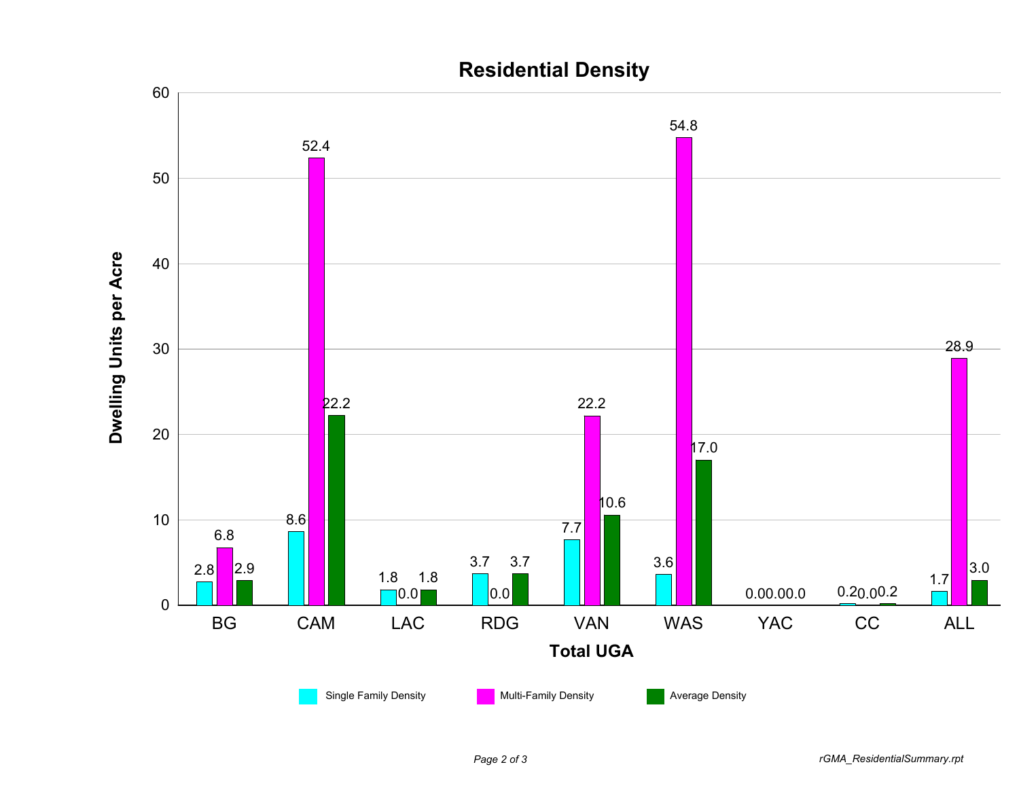